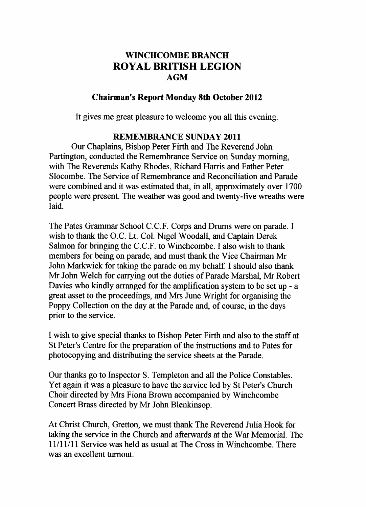# **WINCHCOMBE BRANCH ROYAL BRITISH LEGION AGM**

# **Chairman's Report Monday 8th October 2012**

 $\mathcal{L}$  gives me great pleasure to welcome you all this evening.

#### **REMEMBRANCE SUNDAY 2011**

**Our Chaplains, Bishop Peter Firth and The Reverend John** Partington, conducted the Remembrance Service on Sunday morning, with The Reverends Kathy Rhodes, Richard Harris and Father Peter Slocombe. The Service of Remembrance and Reconciliation and Parade were combined and it was estimated that, in all, approximately over 1700 people were present. The weather was good and twenty-five wreaths were people were present. The weather was good and twenty-five wreather was good and twenty-five wreaths were wreaths were wreaths were wreaths were wreather with twenty-five wreaths were wreaths were wreaths were wreaths were

The Pates Grammar School C.C.F. Corps and Drums were on parade. I wish to thank the O.C Lt. Col. Nigel Woodall, and Captain Derek Salmon for bringing the C.C.F. to Winchcombe. I also wish to thank members for being on parade, and must thank the Vice Chairman Mr John Markwick for taking the parade on my behalf. I should also thank Mr John Welch for carrying out the duties of Parade Marshal, Mr Robert Davies who kindly arranged for the amplification system to be set up - a great asset to the proceedings, and Mrs June Wright for organising the Poppy Collection on the day at the Parade and, of course, in the days prior to the service.

I wish to give special thanks to Bishop Peter Firth and also to the staff at St Peter's Centre for the preparation of the instructions and to Pates for photocopying and distributing the service sheets at the Parade.

Our thanks go to Inspector S. Templeton and all the Police Constables. Yet again it was a pleasure to have the service led by St Peter's Church Choir directed by Mrs Fiona Brown accompanied by Winchcombe Concert Brass directed by Mr John Blenkinsop.

At Christ Church, Gretton, we must thank The Reverend Julia Hook for taking the service in the Church and afterwards at the War Memorial. The 11/11/11 Service was held as usual at The Cross in Winchcombe. There was an excellent turnout.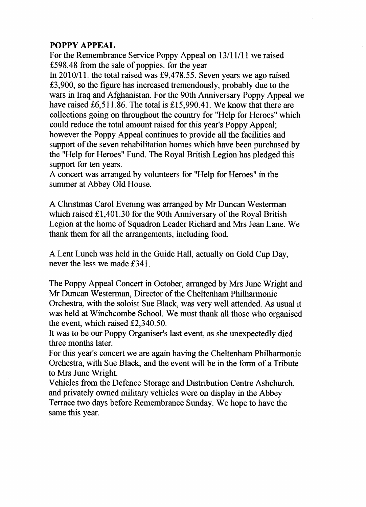# **POPPY APPEAL**

For the Remembrance Service Poppy Appeal on 13/11/11 we raised £598.48 from the sale of poppies, for the year

In 2010/11. the total raised was £9,478.55. Seven years we ago raised £3,900, so the figure has increased tremendously, probably due to the wars in Iraq and Afghanistan. For the 90th Anniversary Poppy Appeal we have raised £6,511.86. The total is £15,990.41. We know that there are collections going on throughout the country for "Help for Heroes" which could reduce the total amount raised for this year's Poppy Appeal; however the Poppy Appeal continues to provide all the facilities and support of the seven rehabilitation homes which have been purchased by the "Help for Heroes" Fund. The Royal British Legion has pledged this support for ten years.

A concert was arranged by volunteers for "Help for Heroes" in the summer at Abbey Old House.

A Christmas Carol Evening was arranged by Mr Duncan Westerman which raised £1,401.30 for the 90th Anniversary of the Royal British Legion at the home of Squadron Leader Richard and Mrs Jean Lane. We thank them for all the arrangements, including food.

A Lent Lunch was held in the Guide Hall, actually on Gold Cup Day, never the less we made £341.

The Poppy Appeal Concert in October, arranged by Mrs June Wright and Mr Duncan Westerman, Director of the Cheltenham Philharmonic Orchestra, with the soloist Sue Black, was very well attended. As usual it was held at Winchcombe School. We must thank all those who organised the event, which raised £2,340.50.

It was to be our Poppy Organiser's last event, as she unexpectedly died three months later.

For this year's concert we are again having the Cheltenham Philharmonic Orchestra, with Sue Black, and the event will be in the form of a Tribute to Mrs June Wright.

Vehicles from the Defence Storage and Distribution Centre Ashchurch, and privately owned military vehicles were on display in the Abbey Terrace two days before Remembrance Sunday. We hope to have the same this year.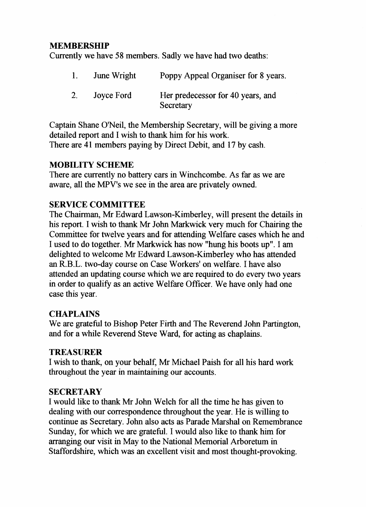# **MEMBERSHIP**

Currently we have 58 members. Sadly we have had two deaths:

|    | <b>June Wright</b> | Poppy Appeal Organiser for 8 years.            |
|----|--------------------|------------------------------------------------|
| 2. | Joyce Ford         | Her predecessor for 40 years, and<br>Secretary |

Captain Shane O'Neil, the Membership Secretary, will be giving a more detailed report and I wish to thank him for his work. There are 41 members paying by Direct Debit, and 17 by cash.

#### **MOBILITY SCHEME**

There are currently no battery cars in Winchcombe. As far as we are aware, all the MPV's we see in the area are privately owned.

#### **SERVICE COMMITTEE**

The Chairman, Mr Edward Lawson-Kimberley, will present the details in his report. I wish to thank Mr John Markwick very much for Chairing the Committee for twelve years and for attending Welfare cases which he and I used to do together. Mr Markwick has now "hung his boots up". I am delighted to welcome Mr Edward Lawson-Kimberley who has attended an R.B.L. two-day course on Case Workers' on welfare. I have also attended an updating course which we are required to do every two years in order to qualify as an active Welfare Officer. We have only had one case this year.

#### **CHAPLAINS**

We are grateful to Bishop Peter Firth and The Reverend John Partington, and for a while Reverend Steve Ward, for acting as chaplains.

#### **TREASURER**

I wish to thank, on your behalf, Mr Michael Paish for all his hard work throughout the year in maintaining our accounts.

#### **SECRETARY**

I would like to thank Mr John Welch for all the time he has given to dealing with our correspondence throughout the year. He is willing to continue as Secretary. John also acts as Parade Marshal on Remembrance Sunday, for which we are grateful. I would also like to thank him for arranging our visit in May to the National Memorial Arboretum in Staffordshire, which was an excellent visit and most thought-provoking.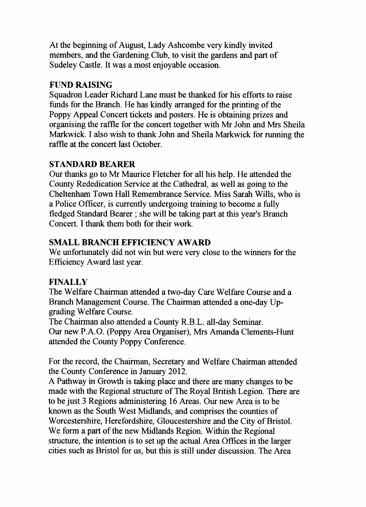At the beginning of August, Lady Ashcombe very kindly invited members, and the Gardening Club, to visit the gardens and part of Sudeley Castle. It was a most enjoyable occasion.

# **FUND RAISING**

Squadron Leader Richard Lane must be thanked for his efforts to raise funds for the Branch. He has kindly arranged for the printing of the Poppy Appeal Concert tickets and posters. He is obtaining prizes and organising the raffle for the concert together with Mr John and Mrs Sheila Markwick. I also wish to thank John and Sheila Markwick for running the raffle at the concert last October.

#### **STANDARD BEARER**

Our thanks go to Mr Maurice Fletcher for all his help. He attended the County Rededication Service at the Cathedral, as well as going to the Cheltenham Town Hall Remembrance Service. Miss Sarah Wills, who is a Police Officer, is currently undergoing training to become a fully fledged Standard Bearer ; she will be taking part at this year's Branch Concert. I thank them both for their work.

## **SMALL BRANCH EFFICIENCY AWARD**

We unfortunately did not win but were very close to the winners for the Efficiency Award last year.

#### **FINALLY**

The Welfare Chairman attended a two-day Care Welfare Course and a Branch Management Course. The Chairman attended a one-day Upgrading Welfare Course.

The Chairman also attended a County R.B.L. all-day Seminar. Our new P.A.O. (Poppy Area Organiser), Mrs Amanda Clements-Hunt attended the County Poppy Conference.

For the record, the Chairman, Secretary and Welfare Chairman attended the County Conference in January 2012.

A Pathway in Growth is taking place and there are many changes to be made with the Regional structure of The Royal British Legion. There are to be just 3 Regions administering 16 Areas. Our new Area is to be known as the South West Midlands, and comprises the counties of Worcestershire, Herefordshire, Gloucestershire and the City of Bristol. We form a part of the new Midlands Region. Within the Regional structure, the intention is to set up the actual Area Offices in the larger cities such as Bristol for us, but this is still under discussion. The Area